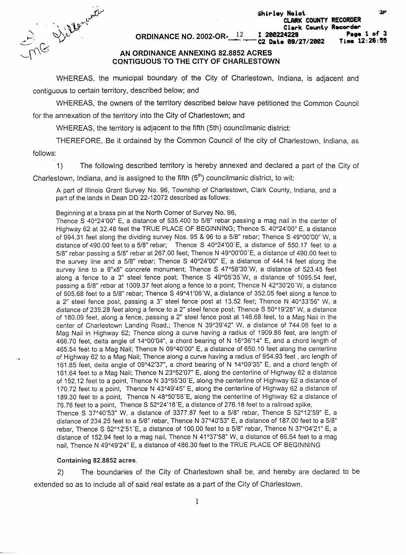Shir<br>  $\frac{12}{\sqrt{10}}$   $\frac{120}{\sqrt{10}}$ <br>
AN ORDINANCE ANNEXING 82.8852 ACRES

Clark County Recorder<br>I 200224229 Page **Page 1 of 3**  C2 Date 09/27/2002

**CLARK COUNTY RECORDER** 

## **CONTIGUOUS TO THE CITY OF CHARLESTOWN**

WHEREAS, the municipal boundary of the City of Charlestown, Indiana, is adjacent and contiguous to certain territory, described below; and

WHEREAS, the owners of the territory described below have petitioned the Common Council for the annexation of the territory into the City of Charlestown; and

WHEREAS, the territory is adjacent to the fifth (5th) councilmanic district:

THEREFORE, Be it ordained by the Common Council of the city of Charlestown, Indiana, as

follows:

1) The following described territory is hereby annexed and declared a part of the City of

Charlestown, Indiana, and is assigned to the fifth  $(5<sup>th</sup>)$  councilmanic district, to wit:

A part of Illinois Grant Survey No. 96, Township of Charlestown, Clark County, Indiana, and a part of the lands in Dean DD 22-12072 described as follows:

Beginning at a brass pin at the North Corner of Survey No. 96,

Thence S 40'24'00" E, a distance of 535.400 to 5/8" rebar passing a mag nail in the center of Highway 62 at 32.48 feet the TRUE PLACE OF BEGINNING; Thence S. 40'24'00'' E. a distance of 994.31 feet along the dividing survey Nos. 95 & 96 to a 5/8" rebar; Thence S 49°00'00" W, a distance of 490.00 feet to a 5/8" rebar; Thence S 40'24'00'E, a distance of 550.17 feet to a 5/8" rebar passing a 5/8" rebar at 267.00 feet; Thence N 49"00'00'E, a distance of 490.00 feet to the survey line and a 5/8" rebar; Thence S 40'24'00" E, a distance of 444.14 feet along the survey line to a 8"x8" concrete monument; Thence S 47°58'30'W, a distance of 523.45 feet along a fence to a 3" steel fence post; Thence S 49"05'35'W, a distance of 1095.54 feet, passing a 5/8" rebar at 1009.37 feet along a fence to a point; Thence N 42'30'20'W, a distance of 505.68 feet to a 5/8" rebar; Thence S 49'41'06'W, a distance of 352.05 feet along a fence to a 2" steel fence post, passing a 3" steel fence post at 13.52 feet; Thence N  $40^{\circ}33'56''$  W, a distance of 235.28 feet along a fence to a 2" steel fence post; Thence S 50°19'28" W, a distance of 180.09 feet, along a fence, passing a 2" steel fence post at 146.68 feet, to a Mag Nail in the center of Charlestown Landing Road,; Thence N 39'39'42" W, a distance of 744.06 feet to a Mag Nail in Highway 62; Thence along a curve having a radius of 1909.86 feet, are length of 466.70 feet, delta angle of 14'00'04", a chord bearing of N 16'36'14" E, and a chord length of 465.54 feet to a Mag Nail; Thence N 09°40'00" E, a distance of 650.10 feet along the centerline of Highway 62 to a Mag Nail; Thence along a curve having a radius of 954.93 feet , arc length of 161.85 feet, delta angle of 09'42'37", *a* chord bearing of N 14°09'35" E, and a chord length of 161.64 feet to a Mag Nail; Thence N 23'52'07" E, along the centerline of Highway 62 a distance of 152.12 feet to a point, Thence N 33'55'30'E, along the centerline of Highway 62 a distance of 170.72 feet to a point, Thence N 43°49'45" E, along the centerline of Highway 62 a distance of 189.30 feet to a point, Thence N 48°50'55'E, along the centerline of Highway 62 a distance of 76.76 feet to a point, Thence S 52°24'18'E, a distance of 276.18 feet to a railroad spike, Thence S 37°40'53" W, a distance of 3377.87 feet to a 5/8" rebar, Thence S 52'12'59'' E, a distance of 234.25 feet to a 5/8" rebar, Thence N 37°40'53" E, a distance of 187.00 feet to a 5/8" rebar, Thence S 52°12'51 'E, a distance of 100.00 feet to a 5/8" rebar, Thence N 37'04'21" **E,** a distance of 152.94 feet to a mag nail, Thence N  $41^{\circ}37'58''$  W, a distance of 66.54 feet to a mag nail, Thence N 49'49'24'' E, a distance of 486.30 feet to the TRUE PLACE OF BEGINNING

## **Containing 82.8852 acres.**

2) The boundaries of the City of Charlestown shall be, and hereby are declared to be extended so as to include all of said real estate as a part of the City of Charlestown.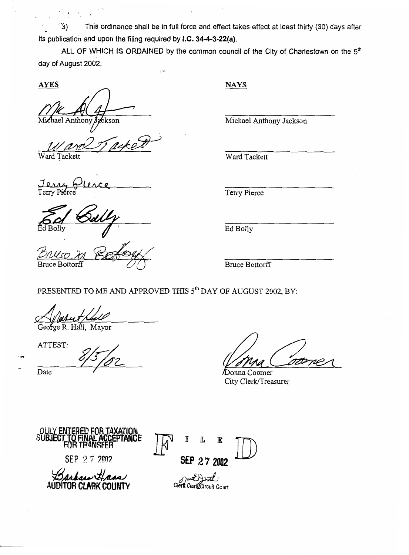This ordinance shall be in full force and effect takes effect at least thirty (30) days after 3) its publication and upon the filing required by **I.C. 34-4-3-22(a).** 

ALL OF WHICH **IS** ORDAINED by the common council of the City of Charlestown on the **5th**  day of August 2002.

**AYES** 

:kson nthony

Ward Tackett Ward Tackett

*L*  **ierce**  Jerry 6

**Bruce Bottorff** 

**NAYS** 

Michael Anthony Jackson

Terry Pierce

Ed Bolly

Bruce Bottorff

PRESENTED TO ME *AND* APPROVED THIS **5th** DAY OF AUGUST 2002, BY:

George R. Hall, Mayor

ATTEST:

ATTEST:<br>Date 8/5/02 Donna Comer *Coore* 

**SU** 

DULY **ENTERED FOR TAXATION SEP** *27* **2002 AUDITOR CLARK COUNTY**   $F$ <sup>III</sup><br>SEP 27 2002 SEP **27 2002 Clerk Circuit** circuit court